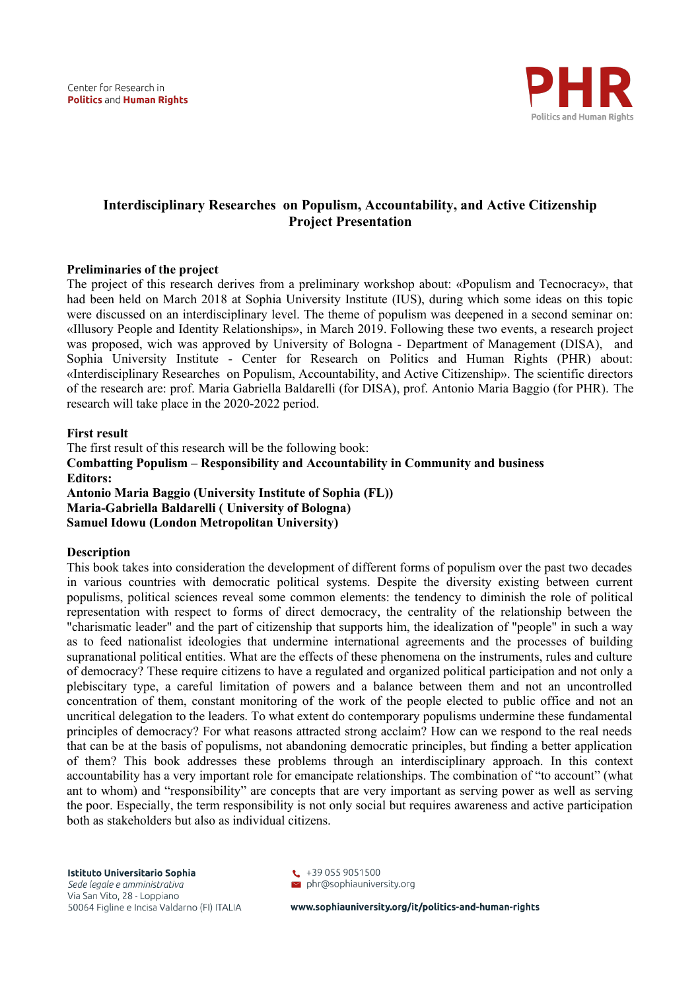

# **Interdisciplinary Researches on Populism, Accountability, and Active Citizenship Project Presentation**

### **Preliminaries of the project**

The project of this research derives from a preliminary workshop about: «Populism and Tecnocracy», that had been held on March 2018 at Sophia University Institute (IUS), during which some ideas on this topic were discussed on an interdisciplinary level. The theme of populism was deepened in a second seminar on: «Illusory People and Identity Relationships», in March 2019. Following these two events, a research project was proposed, wich was approved by University of Bologna - Department of Management (DISA), and Sophia University Institute - Center for Research on Politics and Human Rights (PHR) about: «Interdisciplinary Researches on Populism, Accountability, and Active Citizenship». The scientific directors of the research are: prof. Maria Gabriella Baldarelli (for DISA), prof. Antonio Maria Baggio (for PHR). The research will take place in the 2020-2022 period.

#### **First result**

The first result of this research will be the following book: **Combatting Populism – Responsibility and Accountability in Community and business Editors: Antonio Maria Baggio (University Institute of Sophia (FL)) Maria-Gabriella Baldarelli ( University of Bologna) Samuel Idowu (London Metropolitan University)** 

#### **Description**

This book takes into consideration the development of different forms of populism over the past two decades in various countries with democratic political systems. Despite the diversity existing between current populisms, political sciences reveal some common elements: the tendency to diminish the role of political representation with respect to forms of direct democracy, the centrality of the relationship between the "charismatic leader" and the part of citizenship that supports him, the idealization of "people" in such a way as to feed nationalist ideologies that undermine international agreements and the processes of building supranational political entities. What are the effects of these phenomena on the instruments, rules and culture of democracy? These require citizens to have a regulated and organized political participation and not only a plebiscitary type, a careful limitation of powers and a balance between them and not an uncontrolled concentration of them, constant monitoring of the work of the people elected to public office and not an uncritical delegation to the leaders. To what extent do contemporary populisms undermine these fundamental principles of democracy? For what reasons attracted strong acclaim? How can we respond to the real needs that can be at the basis of populisms, not abandoning democratic principles, but finding a better application of them? This book addresses these problems through an interdisciplinary approach. In this context accountability has a very important role for emancipate relationships. The combination of "to account" (what ant to whom) and "responsibility" are concepts that are very important as serving power as well as serving the poor. Especially, the term responsibility is not only social but requires awareness and active participation both as stakeholders but also as individual citizens.

Istituto Universitario Sophia Sede legale e amministrativa Via San Vito, 28 - Loppiano 50064 Figline e Incisa Valdarno (FI) ITALIA



www.sophiauniversity.org/it/politics-and-human-rights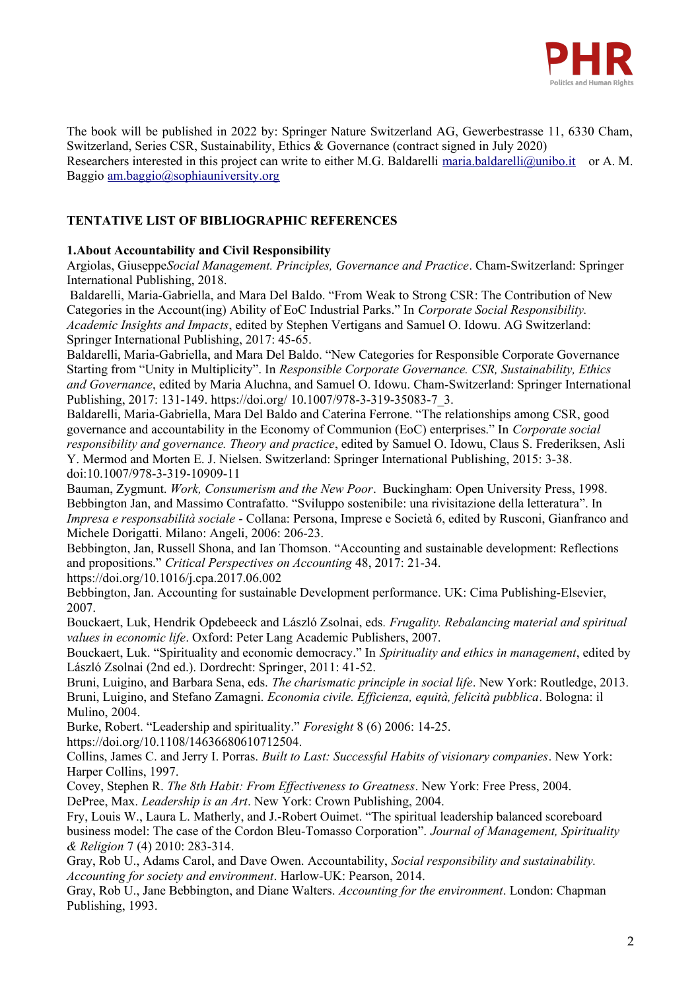

The book will be published in 2022 by: Springer Nature Switzerland AG, Gewerbestrasse 11, 6330 Cham, Switzerland, Series CSR, Sustainability, Ethics & Governance (contract signed in July 2020) Researchers interested in this project can write to either M.G. Baldarelli [maria.baldarelli@unibo.it](mailto:maria.baldarelli@unibo.it) or A. M. Baggio [am.baggio@sophiauniversity.org](mailto:am.baggio@sophiauniversity.org)

## **TENTATIVE LIST OF BIBLIOGRAPHIC REFERENCES**

### **1.About Accountability and Civil Responsibility**

Argiolas, Giuseppe*Social Management. Principles, Governance and Practice*. Cham-Switzerland: Springer International Publishing, 2018.

 Baldarelli, Maria-Gabriella, and Mara Del Baldo. "From Weak to Strong CSR: The Contribution of New Categories in the Account(ing) Ability of EoC Industrial Parks." In *Corporate Social Responsibility. Academic Insights and Impacts*, edited by Stephen Vertigans and Samuel O. Idowu. AG Switzerland: Springer International Publishing, 2017: 45-65.

Baldarelli, Maria-Gabriella, and Mara Del Baldo. "New Categories for Responsible Corporate Governance Starting from "Unity in Multiplicity". In *Responsible Corporate Governance. CSR, Sustainability, Ethics and Governance*, edited by Maria Aluchna, and Samuel O. Idowu. Cham-Switzerland: Springer International Publishing, 2017: 131-149. https://doi.org/ 10.1007/978-3-319-35083-7\_3.

Baldarelli, Maria-Gabriella, Mara Del Baldo and Caterina Ferrone. "The relationships among CSR, good governance and accountability in the Economy of Communion (EoC) enterprises." In *Corporate social responsibility and governance. Theory and practice*, edited by Samuel O. Idowu, Claus S. Frederiksen, Asli Y. Mermod and Morten E. J. Nielsen. Switzerland: Springer International Publishing, 2015: 3-38. doi:10.1007/978-3-319-10909-11

Bauman, Zygmunt. *Work, Consumerism and the New Poor*. Buckingham: Open University Press, 1998. Bebbington Jan, and Massimo Contrafatto. "Sviluppo sostenibile: una rivisitazione della letteratura". In *Impresa e responsabilità sociale* - Collana: Persona, Imprese e Società 6, edited by Rusconi, Gianfranco and Michele Dorigatti. Milano: Angeli, 2006: 206-23.

Bebbington, Jan, Russell Shona, and Ian Thomson. "Accounting and sustainable development: Reflections and propositions." *Critical Perspectives on Accounting* 48, 2017: 21-34.

https://doi.org/10.1016/j.cpa.2017.06.002

Bebbington, Jan. Accounting for sustainable Development performance. UK: Cima Publishing-Elsevier, 2007.

Bouckaert, Luk, Hendrik Opdebeeck and László Zsolnai, eds*. Frugality. Rebalancing material and spiritual values in economic life*. Oxford: Peter Lang Academic Publishers, 2007.

Bouckaert, Luk. "Spirituality and economic democracy." In *Spirituality and ethics in management*, edited by László Zsolnai (2nd ed.). Dordrecht: Springer, 2011: 41-52.

Bruni, Luigino, and Barbara Sena, eds. *The charismatic principle in social life*. New York: Routledge, 2013. Bruni, Luigino, and Stefano Zamagni. *Economia civile. Efficienza, equità, felicità pubblica*. Bologna: il Mulino, 2004.

Burke, Robert. "Leadership and spirituality." *Foresight* 8 (6) 2006: 14-25.

https://doi.org/10.1108/14636680610712504.

Collins, James C. and Jerry I. Porras. *Built to Last: Successful Habits of visionary companies*. New York: Harper Collins, 1997.

Covey, Stephen R. *The 8th Habit: From Effectiveness to Greatness*. New York: Free Press, 2004. DePree, Max. *Leadership is an Art*. New York: Crown Publishing, 2004.

Fry, Louis W., Laura L. Matherly, and J.-Robert Ouimet. "The spiritual leadership balanced scoreboard business model: The case of the Cordon Bleu-Tomasso Corporation". *Journal of Management, Spirituality & Religion* 7 (4) 2010: 283-314.

Gray, Rob U., Adams Carol, and Dave Owen. Accountability, *Social responsibility and sustainability. Accounting for society and environment*. Harlow-UK: Pearson, 2014.

Gray, Rob U., Jane Bebbington, and Diane Walters. *Accounting for the environment*. London: Chapman Publishing, 1993.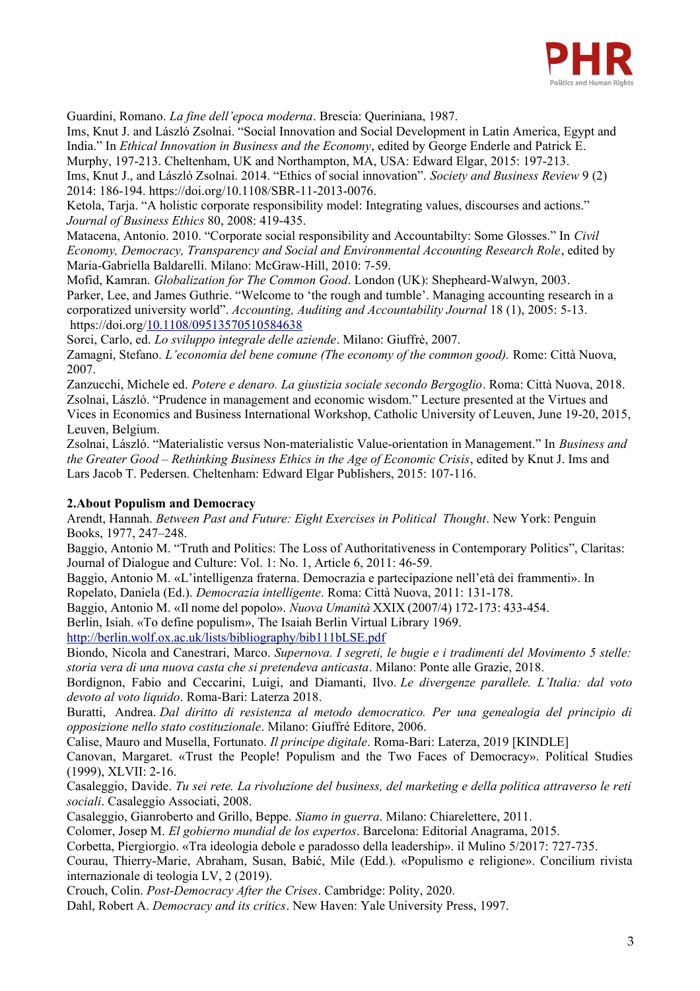

Guardini, Romano. *La fine dell'epoca moderna*. Brescia: Queriniana, 1987.

Ims, Knut J. and László Zsolnai. "Social Innovation and Social Development in Latin America, Egypt and India." In *Ethical Innovation in Business and the Economy*, edited by George Enderle and Patrick E. Murphy, 197-213. Cheltenham, UK and Northampton, MA, USA: Edward Elgar, 2015: 197-213.

Ims, Knut J., and László Zsolnai. 2014. "Ethics of social innovation". *Society and Business Review* 9 (2) 2014: 186-194. https://doi.org/10.1108/SBR-11-2013-0076.

Ketola, Tarja. "A holistic corporate responsibility model: Integrating values, discourses and actions." *Journal of Business Ethics* 80, 2008: 419-435.

Matacena, Antonio. 2010. "Corporate social responsibility and Accountabilty: Some Glosses." In *Civil Economy, Democracy, Transparency and Social and Environmental Accounting Research Role*, edited by Maria-Gabriella Baldarelli. Milano: McGraw-Hill, 2010: 7-59.

Mofid, Kamran. *Globalization for The Common Good*. London (UK): Shepheard-Walwyn, 2003.

Parker, Lee, and James Guthrie. "Welcome to 'the rough and tumble'. Managing accounting research in a corporatized university world". *Accounting, Auditing and Accountability Journal* 18 (1), 2005: 5-13. https://doi.org[/10.1108/09513570510584638](http://dx.doi.org/10.1108/09513570510584638)

Sorci, Carlo, ed. *Lo sviluppo integrale delle aziende*. Milano: Giuffrè, 2007.

Zamagni, Stefano. *L'economia del bene comune (The economy of the common good).* Rome: Città Nuova, 2007.

Zanzucchi, Michele ed. *Potere e denaro. La giustizia sociale secondo Bergoglio*. Roma: Città Nuova, 2018. Zsolnai, László. "Prudence in management and economic wisdom." Lecture presented at the Virtues and Vices in Economics and Business International Workshop, Catholic University of Leuven, June 19-20, 2015, Leuven, Belgium.

Zsolnai, László. "Materialistic versus Non-materialistic Value-orientation in Management." In *Business and the Greater Good – Rethinking Business Ethics in the Age of Economic Crisis*, edited by Knut J. Ims and Lars Jacob T. Pedersen. Cheltenham: Edward Elgar Publishers, 2015: 107-116.

#### **2.About Populism and Democracy**

Arendt, Hannah. *Between Past and Future: Eight Exercises in Political Thought*. New York: Penguin Books, 1977, 247–248.

Baggio, Antonio M. "Truth and Politics: The Loss of Authoritativeness in Contemporary Politics", Claritas: Journal of Dialogue and Culture: Vol. 1: No. 1, Article 6, 2011: 46-59.

Baggio, Antonio M. «L'intelligenza fraterna. Democrazia e partecipazione nell'età dei frammenti». In Ropelato, Daniela (Ed.). *Democrazia intelligente*. Roma: Città Nuova, 2011: 131-178.

Baggio, Antonio M. «Il nome del popolo». *Nuova Umanità* XXIX (2007/4) 172-173: 433-454.

Berlin, Isiah. «To define populism», The Isaiah Berlin Virtual Library 1969.

<http://berlin.wolf.ox.ac.uk/lists/bibliography/bib111bLSE.pdf>

Biondo, Nicola and Canestrari, Marco. *Supernova. I segreti, le bugie e i tradimenti del Movimento 5 stelle: storia vera di una nuova casta che si pretendeva anticasta*. Milano: Ponte alle Grazie, 2018.

Bordignon, Fabio and Ceccarini, Luigi, and Diamanti, Ilvo. *Le divergenze parallele. L'Italia: dal voto devoto al voto liquido*. Roma-Bari: Laterza 2018.

Buratti, Andrea. *Dal diritto di resistenza al metodo democratico. Per una genealogia del principio di opposizione nello stato costituzionale*. Milano: Giuffré Editore, 2006.

Calise, Mauro and Musella, Fortunato. *Il principe digitale*. Roma-Bari: Laterza, 2019 [KINDLE]

Canovan, Margaret. «Trust the People! Populism and the Two Faces of Democracy». Political Studies (1999), XLVII: 2-16.

Casaleggio, Davide. *Tu sei rete. La rivoluzione del business, del marketing e della politica attraverso le reti sociali*. Casaleggio Associati, 2008.

Casaleggio, Gianroberto and Grillo, Beppe. *Siamo in guerra*. Milano: Chiarelettere, 2011.

Colomer, Josep M. *El gobierno mundial de los expertos*. Barcelona: Editorial Anagrama, 2015.

Corbetta, Piergiorgio. «Tra ideologia debole e paradosso della leadership». il Mulino 5/2017: 727-735.

Courau, Thierry-Marie, Abraham, Susan, Babić, Mile (Edd.). «Populismo e religione». Concilium rivista internazionale di teologia LV, 2 (2019).

Crouch, Colin. *Post-Democracy After the Crises*. Cambridge: Polity, 2020.

Dahl, Robert A. *Democracy and its critics*. New Haven: Yale University Press, 1997.